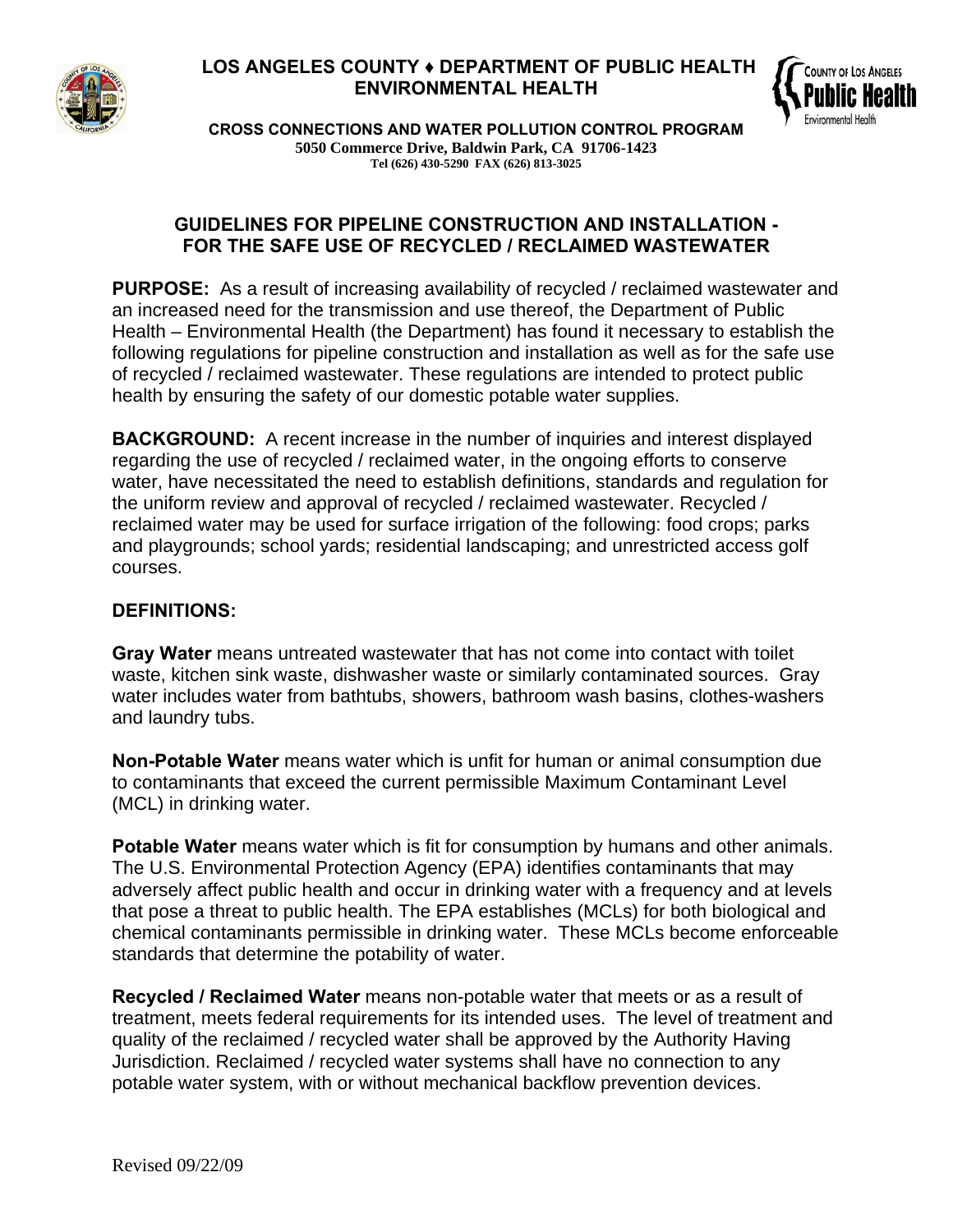

## **LOS ANGELES COUNTY ♦ DEPARTMENT OF PUBLIC HEALTH ENVIRONMENTAL HEALTH**



**CROSS CONNECTIONS AND WATER POLLUTION CONTROL PROGRAM 5050 Commerce Drive, Baldwin Park, CA 91706-1423 Tel (626) 430-5290 FAX (626) 813-3025** 

#### **GUIDELINES FOR PIPELINE CONSTRUCTION AND INSTALLATION - FOR THE SAFE USE OF RECYCLED / RECLAIMED WASTEWATER**

**PURPOSE:** As a result of increasing availability of recycled / reclaimed wastewater and an increased need for the transmission and use thereof, the Department of Public Health – Environmental Health (the Department) has found it necessary to establish the following regulations for pipeline construction and installation as well as for the safe use of recycled / reclaimed wastewater. These regulations are intended to protect public health by ensuring the safety of our domestic potable water supplies.

**BACKGROUND:** A recent increase in the number of inquiries and interest displayed regarding the use of recycled / reclaimed water, in the ongoing efforts to conserve water, have necessitated the need to establish definitions, standards and regulation for the uniform review and approval of recycled / reclaimed wastewater. Recycled / reclaimed water may be used for surface irrigation of the following: food crops; parks and playgrounds; school yards; residential landscaping; and unrestricted access golf courses.

#### **DEFINITIONS:**

**Gray Water** means untreated wastewater that has not come into contact with toilet waste, kitchen sink waste, dishwasher waste or similarly contaminated sources. Gray water includes water from bathtubs, showers, bathroom wash basins, clothes-washers and laundry tubs.

**Non-Potable Water** means water which is unfit for human or animal consumption due to contaminants that exceed the current permissible Maximum Contaminant Level (MCL) in drinking water.

**Potable Water** means water which is fit for consumption by humans and other animals. The U.S. Environmental Protection Agency (EPA) identifies contaminants that may adversely affect public health and occur in drinking water with a frequency and at levels that pose a threat to public health. The EPA establishes (MCLs) for both biological and chemical contaminants permissible in drinking water. These MCLs become enforceable standards that determine the potability of water.

**Recycled / Reclaimed Water** means non-potable water that meets or as a result of treatment, meets federal requirements for its intended uses. The level of treatment and quality of the reclaimed / recycled water shall be approved by the Authority Having Jurisdiction. Reclaimed / recycled water systems shall have no connection to any potable water system, with or without mechanical backflow prevention devices.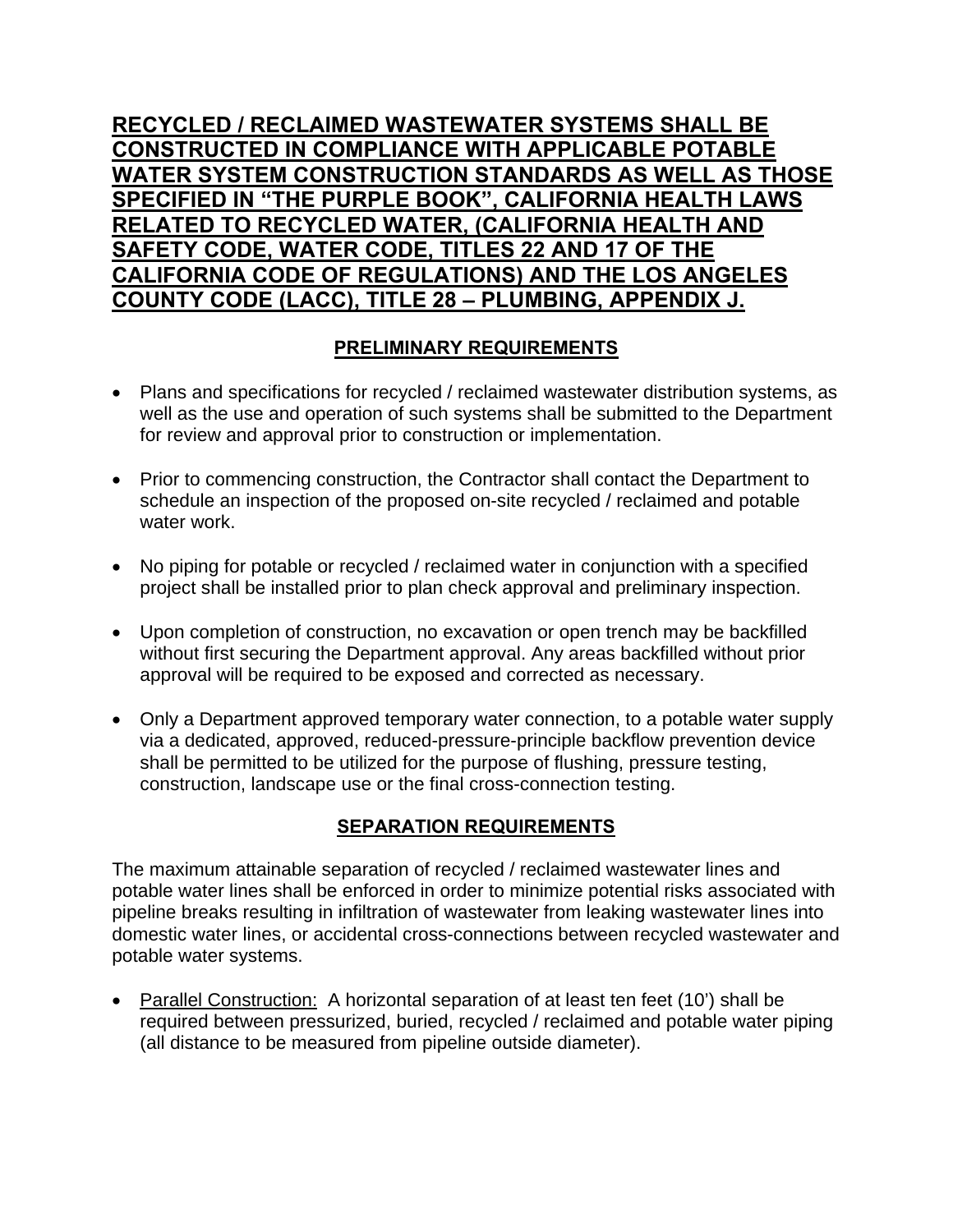# **RECYCLED / RECLAIMED WASTEWATER SYSTEMS SHALL BE CONSTRUCTED IN COMPLIANCE WITH APPLICABLE POTABLE WATER SYSTEM CONSTRUCTION STANDARDS AS WELL AS THOSE SPECIFIED IN "THE PURPLE BOOK", CALIFORNIA HEALTH LAWS RELATED TO RECYCLED WATER, (CALIFORNIA HEALTH AND SAFETY CODE, WATER CODE, TITLES 22 AND 17 OF THE CALIFORNIA CODE OF REGULATIONS) AND THE LOS ANGELES COUNTY CODE (LACC), TITLE 28 – PLUMBING, APPENDIX J.**

## **PRELIMINARY REQUIREMENTS**

- Plans and specifications for recycled / reclaimed wastewater distribution systems, as well as the use and operation of such systems shall be submitted to the Department for review and approval prior to construction or implementation.
- Prior to commencing construction, the Contractor shall contact the Department to schedule an inspection of the proposed on-site recycled / reclaimed and potable water work.
- No piping for potable or recycled / reclaimed water in conjunction with a specified project shall be installed prior to plan check approval and preliminary inspection.
- Upon completion of construction, no excavation or open trench may be backfilled without first securing the Department approval. Any areas backfilled without prior approval will be required to be exposed and corrected as necessary.
- Only a Department approved temporary water connection, to a potable water supply via a dedicated, approved, reduced-pressure-principle backflow prevention device shall be permitted to be utilized for the purpose of flushing, pressure testing, construction, landscape use or the final cross-connection testing.

# **SEPARATION REQUIREMENTS**

The maximum attainable separation of recycled / reclaimed wastewater lines and potable water lines shall be enforced in order to minimize potential risks associated with pipeline breaks resulting in infiltration of wastewater from leaking wastewater lines into domestic water lines, or accidental cross-connections between recycled wastewater and potable water systems.

• Parallel Construction: A horizontal separation of at least ten feet (10') shall be required between pressurized, buried, recycled / reclaimed and potable water piping (all distance to be measured from pipeline outside diameter).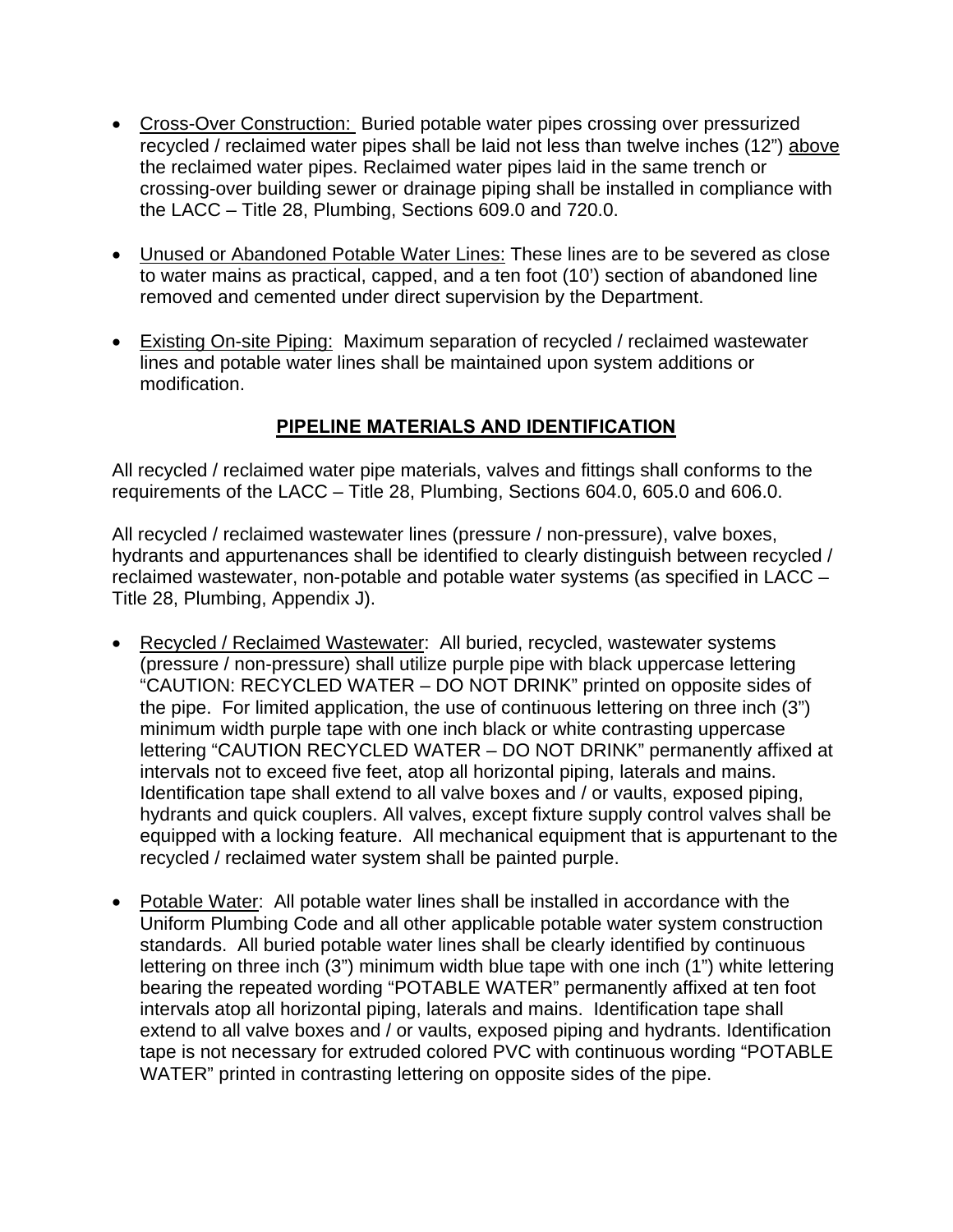- Cross-Over Construction: Buried potable water pipes crossing over pressurized recycled / reclaimed water pipes shall be laid not less than twelve inches (12") above the reclaimed water pipes. Reclaimed water pipes laid in the same trench or crossing-over building sewer or drainage piping shall be installed in compliance with the LACC – Title 28, Plumbing, Sections 609.0 and 720.0.
- Unused or Abandoned Potable Water Lines: These lines are to be severed as close to water mains as practical, capped, and a ten foot (10') section of abandoned line removed and cemented under direct supervision by the Department.
- Existing On-site Piping: Maximum separation of recycled / reclaimed wastewater lines and potable water lines shall be maintained upon system additions or modification.

## **PIPELINE MATERIALS AND IDENTIFICATION**

All recycled / reclaimed water pipe materials, valves and fittings shall conforms to the requirements of the LACC – Title 28, Plumbing, Sections 604.0, 605.0 and 606.0.

All recycled / reclaimed wastewater lines (pressure / non-pressure), valve boxes, hydrants and appurtenances shall be identified to clearly distinguish between recycled / reclaimed wastewater, non-potable and potable water systems (as specified in LACC – Title 28, Plumbing, Appendix J).

- Recycled / Reclaimed Wastewater: All buried, recycled, wastewater systems (pressure / non-pressure) shall utilize purple pipe with black uppercase lettering "CAUTION: RECYCLED WATER – DO NOT DRINK" printed on opposite sides of the pipe. For limited application, the use of continuous lettering on three inch (3") minimum width purple tape with one inch black or white contrasting uppercase lettering "CAUTION RECYCLED WATER – DO NOT DRINK" permanently affixed at intervals not to exceed five feet, atop all horizontal piping, laterals and mains. Identification tape shall extend to all valve boxes and / or vaults, exposed piping, hydrants and quick couplers. All valves, except fixture supply control valves shall be equipped with a locking feature. All mechanical equipment that is appurtenant to the recycled / reclaimed water system shall be painted purple.
- Potable Water: All potable water lines shall be installed in accordance with the Uniform Plumbing Code and all other applicable potable water system construction standards. All buried potable water lines shall be clearly identified by continuous lettering on three inch (3") minimum width blue tape with one inch (1") white lettering bearing the repeated wording "POTABLE WATER" permanently affixed at ten foot intervals atop all horizontal piping, laterals and mains. Identification tape shall extend to all valve boxes and / or vaults, exposed piping and hydrants. Identification tape is not necessary for extruded colored PVC with continuous wording "POTABLE WATER" printed in contrasting lettering on opposite sides of the pipe.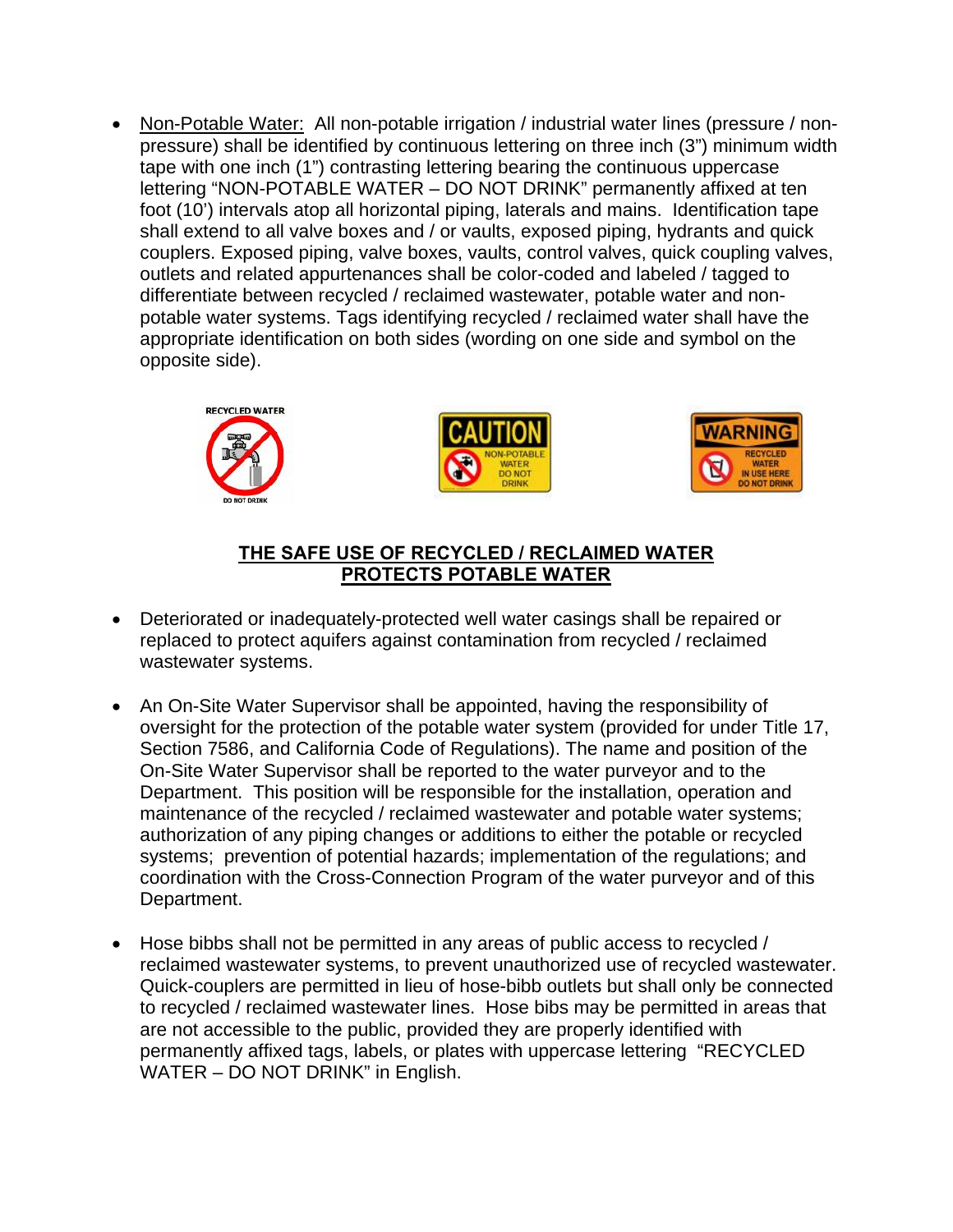• Non-Potable Water: All non-potable irrigation / industrial water lines (pressure / nonpressure) shall be identified by continuous lettering on three inch (3") minimum width tape with one inch (1") contrasting lettering bearing the continuous uppercase lettering "NON-POTABLE WATER – DO NOT DRINK" permanently affixed at ten foot (10') intervals atop all horizontal piping, laterals and mains. Identification tape shall extend to all valve boxes and / or vaults, exposed piping, hydrants and quick couplers. Exposed piping, valve boxes, vaults, control valves, quick coupling valves, outlets and related appurtenances shall be color-coded and labeled / tagged to differentiate between recycled / reclaimed wastewater, potable water and nonpotable water systems. Tags identifying recycled / reclaimed water shall have the appropriate identification on both sides (wording on one side and symbol on the opposite side).







#### **THE SAFE USE OF RECYCLED / RECLAIMED WATER PROTECTS POTABLE WATER**

- Deteriorated or inadequately-protected well water casings shall be repaired or replaced to protect aquifers against contamination from recycled / reclaimed wastewater systems.
- An On-Site Water Supervisor shall be appointed, having the responsibility of oversight for the protection of the potable water system (provided for under Title 17, Section 7586, and California Code of Regulations). The name and position of the On-Site Water Supervisor shall be reported to the water purveyor and to the Department. This position will be responsible for the installation, operation and maintenance of the recycled / reclaimed wastewater and potable water systems; authorization of any piping changes or additions to either the potable or recycled systems; prevention of potential hazards; implementation of the regulations; and coordination with the Cross-Connection Program of the water purveyor and of this Department.
- Hose bibbs shall not be permitted in any areas of public access to recycled / reclaimed wastewater systems, to prevent unauthorized use of recycled wastewater. Quick-couplers are permitted in lieu of hose-bibb outlets but shall only be connected to recycled / reclaimed wastewater lines. Hose bibs may be permitted in areas that are not accessible to the public, provided they are properly identified with permanently affixed tags, labels, or plates with uppercase lettering "RECYCLED WATER – DO NOT DRINK" in English.